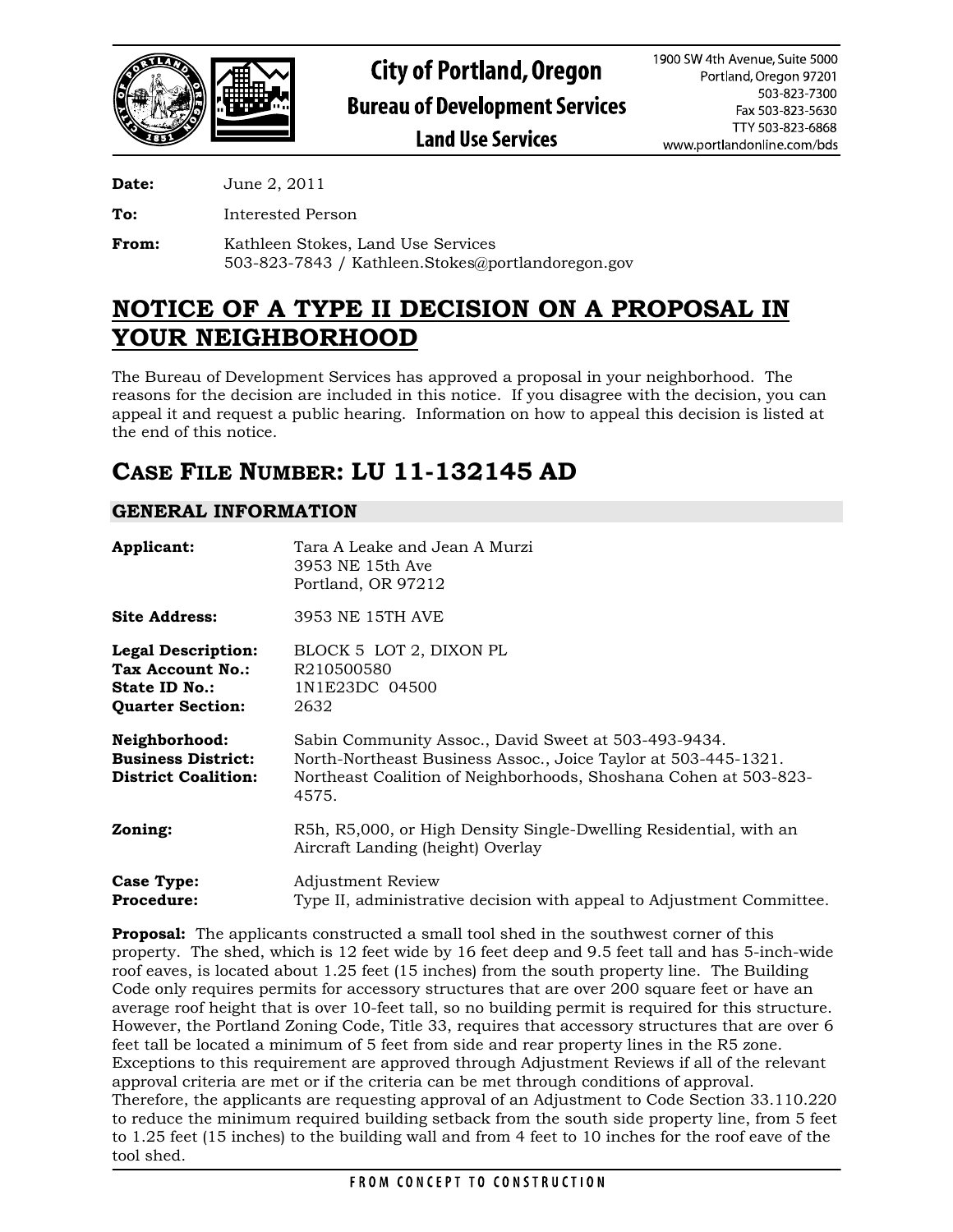

**Date:** June 2, 2011

**To:** Interested Person

**From:** Kathleen Stokes, Land Use Services 503-823-7843 / Kathleen.Stokes@portlandoregon.gov

# **NOTICE OF A TYPE II DECISION ON A PROPOSAL IN YOUR NEIGHBORHOOD**

The Bureau of Development Services has approved a proposal in your neighborhood. The reasons for the decision are included in this notice. If you disagree with the decision, you can appeal it and request a public hearing. Information on how to appeal this decision is listed at the end of this notice.

## **CASE FILE NUMBER: LU 11-132145 AD**

## **GENERAL INFORMATION**

| Applicant:                                                                                       | Tara A Leake and Jean A Murzi<br>3953 NE 15th Ave<br>Portland, OR 97212                                                                                                                             |
|--------------------------------------------------------------------------------------------------|-----------------------------------------------------------------------------------------------------------------------------------------------------------------------------------------------------|
| <b>Site Address:</b>                                                                             | 3953 NE 15TH AVE                                                                                                                                                                                    |
| <b>Legal Description:</b><br>Tax Account No.:<br><b>State ID No.:</b><br><b>Quarter Section:</b> | BLOCK 5 LOT 2, DIXON PL<br>R210500580<br>1N1E23DC 04500<br>2632                                                                                                                                     |
| Neighborhood:<br><b>Business District:</b><br><b>District Coalition:</b>                         | Sabin Community Assoc., David Sweet at 503-493-9434.<br>North-Northeast Business Assoc., Joice Taylor at 503-445-1321.<br>Northeast Coalition of Neighborhoods, Shoshana Cohen at 503-823-<br>4575. |
| Zoning:                                                                                          | R5h, R5,000, or High Density Single-Dwelling Residential, with an<br>Aircraft Landing (height) Overlay                                                                                              |
| <b>Case Type:</b><br><b>Procedure:</b>                                                           | Adjustment Review<br>Type II, administrative decision with appeal to Adjustment Committee.                                                                                                          |

**Proposal:** The applicants constructed a small tool shed in the southwest corner of this property. The shed, which is 12 feet wide by 16 feet deep and 9.5 feet tall and has 5-inch-wide roof eaves, is located about 1.25 feet (15 inches) from the south property line. The Building Code only requires permits for accessory structures that are over 200 square feet or have an average roof height that is over 10-feet tall, so no building permit is required for this structure. However, the Portland Zoning Code, Title 33, requires that accessory structures that are over 6 feet tall be located a minimum of 5 feet from side and rear property lines in the R5 zone. Exceptions to this requirement are approved through Adjustment Reviews if all of the relevant approval criteria are met or if the criteria can be met through conditions of approval. Therefore, the applicants are requesting approval of an Adjustment to Code Section 33.110.220 to reduce the minimum required building setback from the south side property line, from 5 feet to 1.25 feet (15 inches) to the building wall and from 4 feet to 10 inches for the roof eave of the tool shed.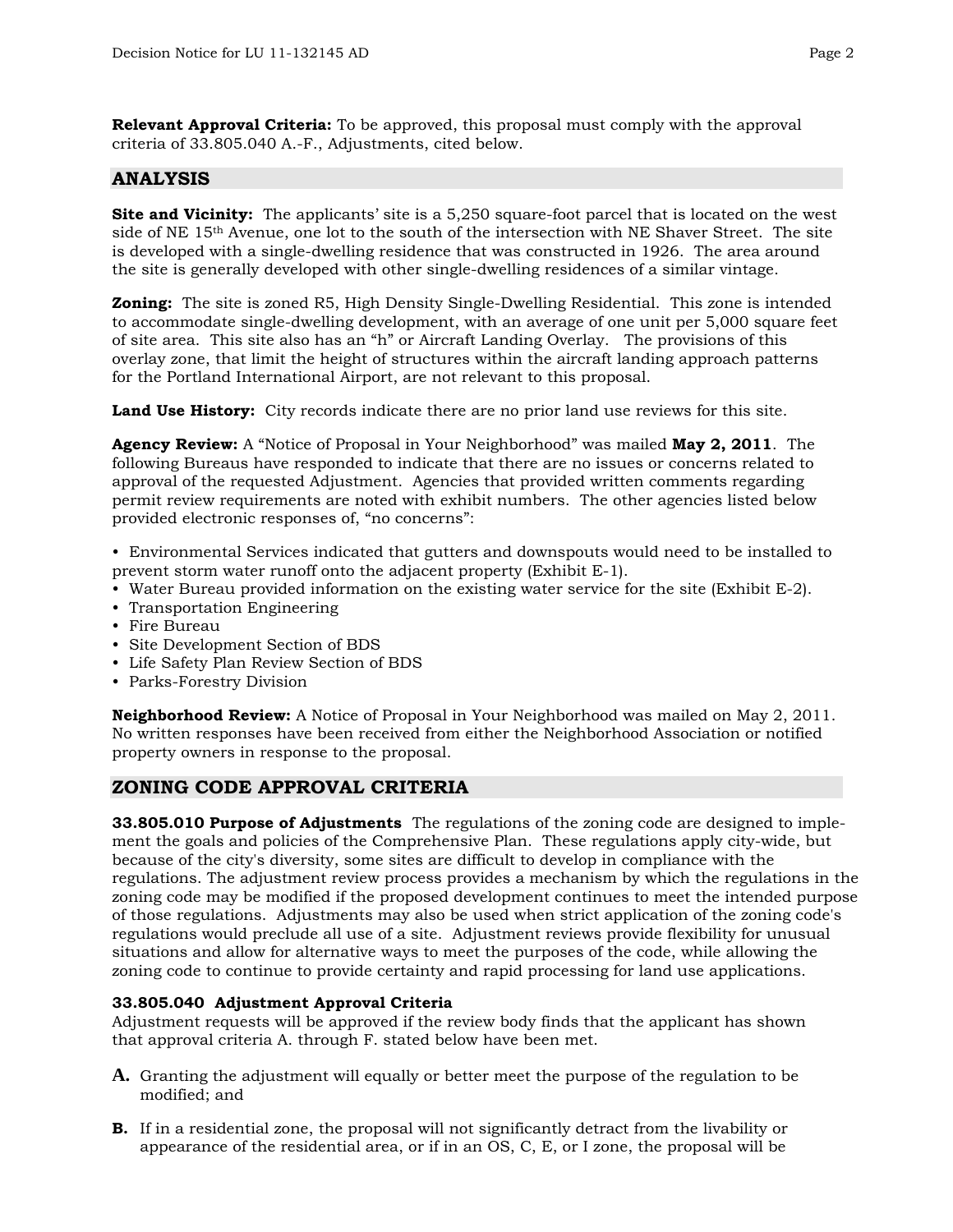**Relevant Approval Criteria:** To be approved, this proposal must comply with the approval criteria of 33.805.040 A.-F., Adjustments, cited below.

## **ANALYSIS**

**Site and Vicinity:** The applicants' site is a 5,250 square-foot parcel that is located on the west side of NE 15<sup>th</sup> Avenue, one lot to the south of the intersection with NE Shaver Street. The site is developed with a single-dwelling residence that was constructed in 1926. The area around the site is generally developed with other single-dwelling residences of a similar vintage.

**Zoning:** The site is zoned R5, High Density Single-Dwelling Residential. This zone is intended to accommodate single-dwelling development, with an average of one unit per 5,000 square feet of site area. This site also has an "h" or Aircraft Landing Overlay. The provisions of this overlay zone, that limit the height of structures within the aircraft landing approach patterns for the Portland International Airport, are not relevant to this proposal.

**Land Use History:** City records indicate there are no prior land use reviews for this site.

**Agency Review:** A "Notice of Proposal in Your Neighborhood" was mailed **May 2, 2011**. The following Bureaus have responded to indicate that there are no issues or concerns related to approval of the requested Adjustment. Agencies that provided written comments regarding permit review requirements are noted with exhibit numbers. The other agencies listed below provided electronic responses of, "no concerns":

• Environmental Services indicated that gutters and downspouts would need to be installed to prevent storm water runoff onto the adjacent property (Exhibit E-1).

- Water Bureau provided information on the existing water service for the site (Exhibit E-2).
- Transportation Engineering
- Fire Bureau
- Site Development Section of BDS
- Life Safety Plan Review Section of BDS
- Parks-Forestry Division

**Neighborhood Review:** A Notice of Proposal in Your Neighborhood was mailed on May 2, 2011. No written responses have been received from either the Neighborhood Association or notified property owners in response to the proposal.

## **ZONING CODE APPROVAL CRITERIA**

**33.805.010 Purpose of Adjustments** The regulations of the zoning code are designed to implement the goals and policies of the Comprehensive Plan. These regulations apply city-wide, but because of the city's diversity, some sites are difficult to develop in compliance with the regulations. The adjustment review process provides a mechanism by which the regulations in the zoning code may be modified if the proposed development continues to meet the intended purpose of those regulations. Adjustments may also be used when strict application of the zoning code's regulations would preclude all use of a site. Adjustment reviews provide flexibility for unusual situations and allow for alternative ways to meet the purposes of the code, while allowing the zoning code to continue to provide certainty and rapid processing for land use applications.

## **33.805.040 Adjustment Approval Criteria**

Adjustment requests will be approved if the review body finds that the applicant has shown that approval criteria A. through F. stated below have been met.

- **A.** Granting the adjustment will equally or better meet the purpose of the regulation to be modified; and
- **B.** If in a residential zone, the proposal will not significantly detract from the livability or appearance of the residential area, or if in an OS, C, E, or I zone, the proposal will be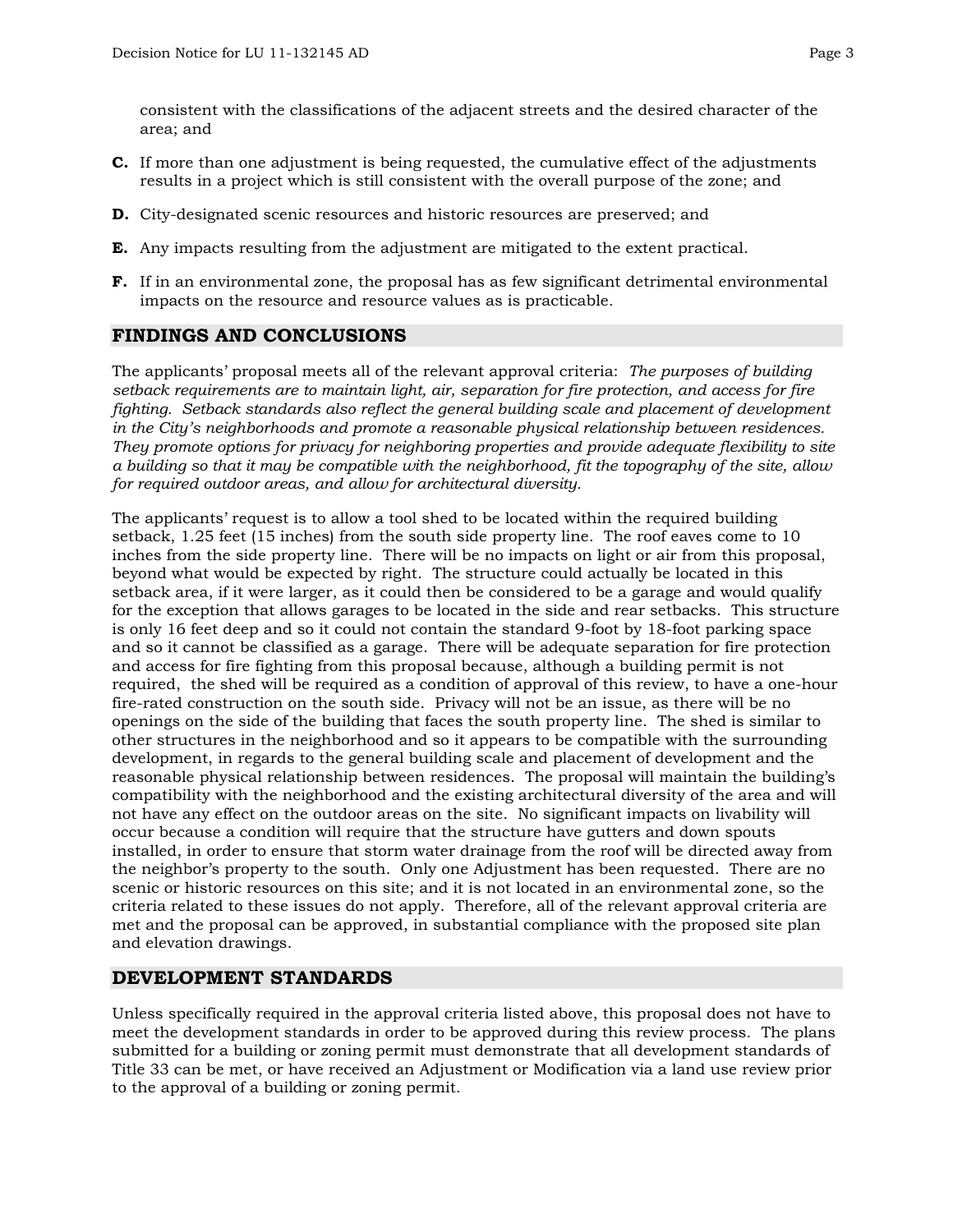consistent with the classifications of the adjacent streets and the desired character of the area; and

- **C.** If more than one adjustment is being requested, the cumulative effect of the adjustments results in a project which is still consistent with the overall purpose of the zone; and
- **D.** City-designated scenic resources and historic resources are preserved; and
- **E.** Any impacts resulting from the adjustment are mitigated to the extent practical.
- **F.** If in an environmental zone, the proposal has as few significant detrimental environmental impacts on the resource and resource values as is practicable.

## **FINDINGS AND CONCLUSIONS**

The applicants' proposal meets all of the relevant approval criteria: *The purposes of building setback requirements are to maintain light, air, separation for fire protection, and access for fire fighting. Setback standards also reflect the general building scale and placement of development in the City's neighborhoods and promote a reasonable physical relationship between residences. They promote options for privacy for neighboring properties and provide adequate flexibility to site a building so that it may be compatible with the neighborhood, fit the topography of the site, allow for required outdoor areas, and allow for architectural diversity.* 

The applicants' request is to allow a tool shed to be located within the required building setback, 1.25 feet (15 inches) from the south side property line. The roof eaves come to 10 inches from the side property line. There will be no impacts on light or air from this proposal, beyond what would be expected by right. The structure could actually be located in this setback area, if it were larger, as it could then be considered to be a garage and would qualify for the exception that allows garages to be located in the side and rear setbacks. This structure is only 16 feet deep and so it could not contain the standard 9-foot by 18-foot parking space and so it cannot be classified as a garage. There will be adequate separation for fire protection and access for fire fighting from this proposal because, although a building permit is not required, the shed will be required as a condition of approval of this review, to have a one-hour fire-rated construction on the south side. Privacy will not be an issue, as there will be no openings on the side of the building that faces the south property line. The shed is similar to other structures in the neighborhood and so it appears to be compatible with the surrounding development, in regards to the general building scale and placement of development and the reasonable physical relationship between residences. The proposal will maintain the building's compatibility with the neighborhood and the existing architectural diversity of the area and will not have any effect on the outdoor areas on the site. No significant impacts on livability will occur because a condition will require that the structure have gutters and down spouts installed, in order to ensure that storm water drainage from the roof will be directed away from the neighbor's property to the south. Only one Adjustment has been requested. There are no scenic or historic resources on this site; and it is not located in an environmental zone, so the criteria related to these issues do not apply. Therefore, all of the relevant approval criteria are met and the proposal can be approved, in substantial compliance with the proposed site plan and elevation drawings.

## **DEVELOPMENT STANDARDS**

Unless specifically required in the approval criteria listed above, this proposal does not have to meet the development standards in order to be approved during this review process. The plans submitted for a building or zoning permit must demonstrate that all development standards of Title 33 can be met, or have received an Adjustment or Modification via a land use review prior to the approval of a building or zoning permit.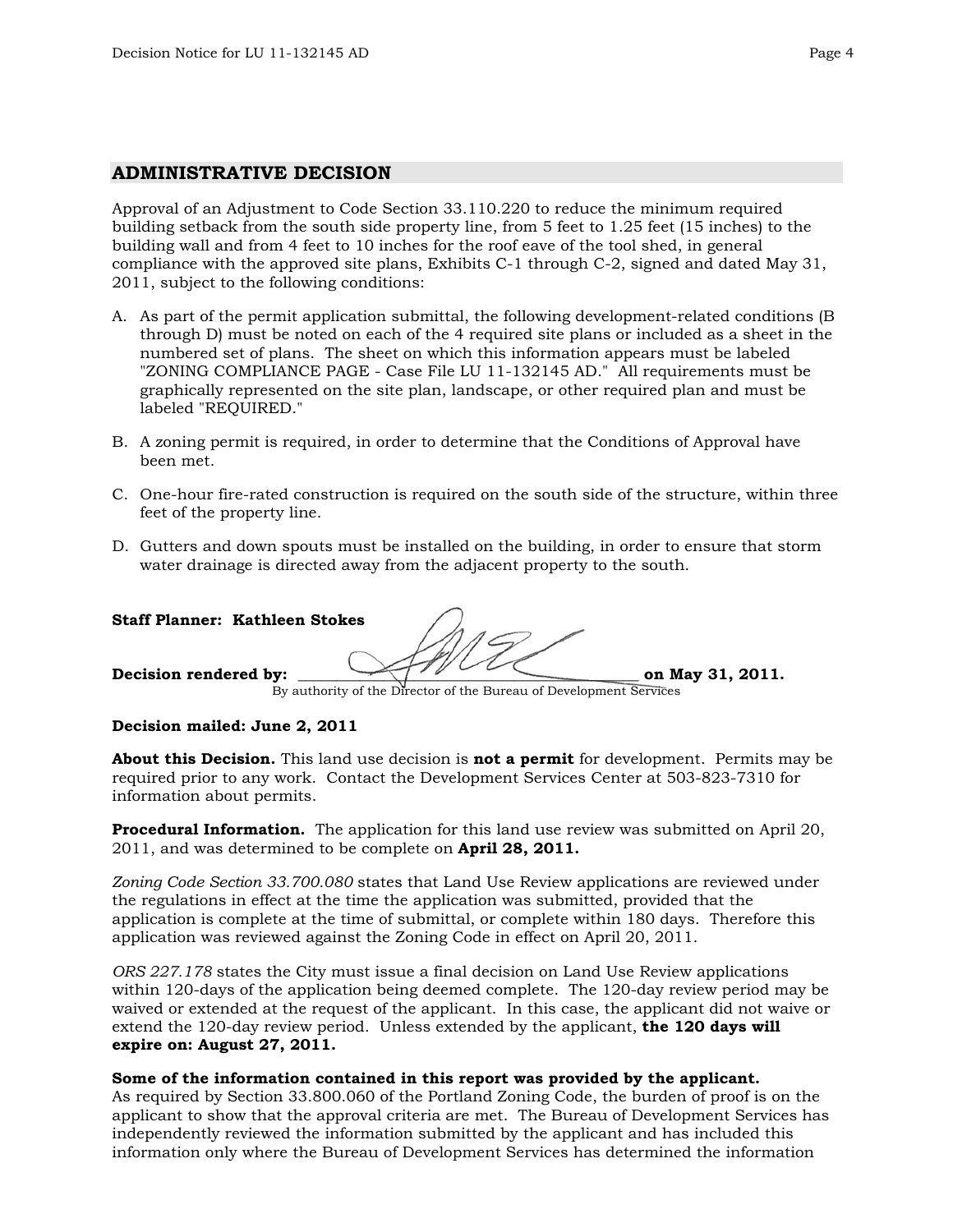#### **ADMINISTRATIVE DECISION**

Approval of an Adjustment to Code Section 33.110.220 to reduce the minimum required building setback from the south side property line, from 5 feet to 1.25 feet (15 inches) to the building wall and from 4 feet to 10 inches for the roof eave of the tool shed, in general compliance with the approved site plans, Exhibits C-1 through C-2, signed and dated May 31, 2011, subject to the following conditions:

- A. As part of the permit application submittal, the following development-related conditions (B through D) must be noted on each of the 4 required site plans or included as a sheet in the numbered set of plans. The sheet on which this information appears must be labeled "ZONING COMPLIANCE PAGE - Case File LU 11-132145 AD." All requirements must be graphically represented on the site plan, landscape, or other required plan and must be labeled "REQUIRED."
- B. A zoning permit is required, in order to determine that the Conditions of Approval have been met.
- C. One-hour fire-rated construction is required on the south side of the structure, within three feet of the property line.
- D. Gutters and down spouts must be installed on the building, in order to ensure that storm water drainage is directed away from the adjacent property to the south.

| <b>Staff Planner: Kathleen Stokes</b> |                                                                    |                  |
|---------------------------------------|--------------------------------------------------------------------|------------------|
| Decision rendered by:                 | By authority of the Director of the Bureau of Development Services | on May 31, 2011. |

#### **Decision mailed: June 2, 2011**

**About this Decision.** This land use decision is **not a permit** for development. Permits may be required prior to any work. Contact the Development Services Center at 503-823-7310 for information about permits.

**Procedural Information.** The application for this land use review was submitted on April 20, 2011, and was determined to be complete on **April 28, 2011.**

*Zoning Code Section 33.700.080* states that Land Use Review applications are reviewed under the regulations in effect at the time the application was submitted, provided that the application is complete at the time of submittal, or complete within 180 days. Therefore this application was reviewed against the Zoning Code in effect on April 20, 2011.

*ORS 227.178* states the City must issue a final decision on Land Use Review applications within 120-days of the application being deemed complete. The 120-day review period may be waived or extended at the request of the applicant. In this case, the applicant did not waive or extend the 120-day review period. Unless extended by the applicant, **the 120 days will expire on: August 27, 2011.**

#### **Some of the information contained in this report was provided by the applicant.**

As required by Section 33.800.060 of the Portland Zoning Code, the burden of proof is on the applicant to show that the approval criteria are met. The Bureau of Development Services has independently reviewed the information submitted by the applicant and has included this information only where the Bureau of Development Services has determined the information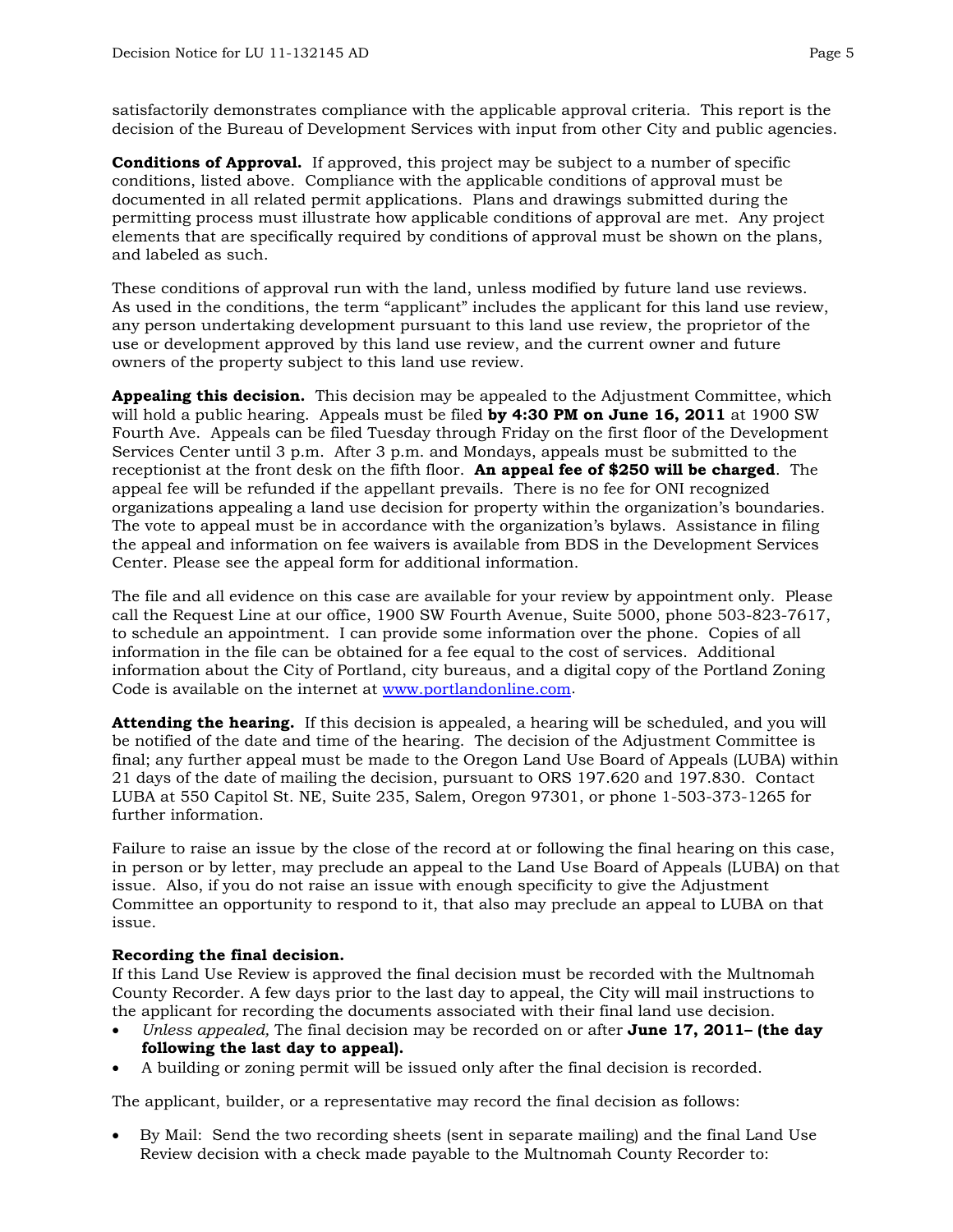satisfactorily demonstrates compliance with the applicable approval criteria. This report is the decision of the Bureau of Development Services with input from other City and public agencies.

**Conditions of Approval.** If approved, this project may be subject to a number of specific conditions, listed above. Compliance with the applicable conditions of approval must be documented in all related permit applications. Plans and drawings submitted during the permitting process must illustrate how applicable conditions of approval are met. Any project elements that are specifically required by conditions of approval must be shown on the plans, and labeled as such.

These conditions of approval run with the land, unless modified by future land use reviews. As used in the conditions, the term "applicant" includes the applicant for this land use review, any person undertaking development pursuant to this land use review, the proprietor of the use or development approved by this land use review, and the current owner and future owners of the property subject to this land use review.

**Appealing this decision.** This decision may be appealed to the Adjustment Committee, which will hold a public hearing. Appeals must be filed **by 4:30 PM on June 16, 2011** at 1900 SW Fourth Ave. Appeals can be filed Tuesday through Friday on the first floor of the Development Services Center until 3 p.m. After 3 p.m. and Mondays, appeals must be submitted to the receptionist at the front desk on the fifth floor. **An appeal fee of \$250 will be charged**. The appeal fee will be refunded if the appellant prevails. There is no fee for ONI recognized organizations appealing a land use decision for property within the organization's boundaries. The vote to appeal must be in accordance with the organization's bylaws. Assistance in filing the appeal and information on fee waivers is available from BDS in the Development Services Center. Please see the appeal form for additional information.

The file and all evidence on this case are available for your review by appointment only. Please call the Request Line at our office, 1900 SW Fourth Avenue, Suite 5000, phone 503-823-7617, to schedule an appointment. I can provide some information over the phone. Copies of all information in the file can be obtained for a fee equal to the cost of services. Additional information about the City of Portland, city bureaus, and a digital copy of the Portland Zoning Code is available on the internet at [www.portlandonline.com](http://www.ci.portland.or.us/).

**Attending the hearing.** If this decision is appealed, a hearing will be scheduled, and you will be notified of the date and time of the hearing. The decision of the Adjustment Committee is final; any further appeal must be made to the Oregon Land Use Board of Appeals (LUBA) within 21 days of the date of mailing the decision, pursuant to ORS 197.620 and 197.830. Contact LUBA at 550 Capitol St. NE, Suite 235, Salem, Oregon 97301, or phone 1-503-373-1265 for further information.

Failure to raise an issue by the close of the record at or following the final hearing on this case, in person or by letter, may preclude an appeal to the Land Use Board of Appeals (LUBA) on that issue. Also, if you do not raise an issue with enough specificity to give the Adjustment Committee an opportunity to respond to it, that also may preclude an appeal to LUBA on that issue.

## **Recording the final decision.**

If this Land Use Review is approved the final decision must be recorded with the Multnomah County Recorder. A few days prior to the last day to appeal, the City will mail instructions to the applicant for recording the documents associated with their final land use decision.

- *Unless appealed,* The final decision may be recorded on or after **June 17, 2011– (the day following the last day to appeal).**
- A building or zoning permit will be issued only after the final decision is recorded.

The applicant, builder, or a representative may record the final decision as follows:

• By Mail: Send the two recording sheets (sent in separate mailing) and the final Land Use Review decision with a check made payable to the Multnomah County Recorder to: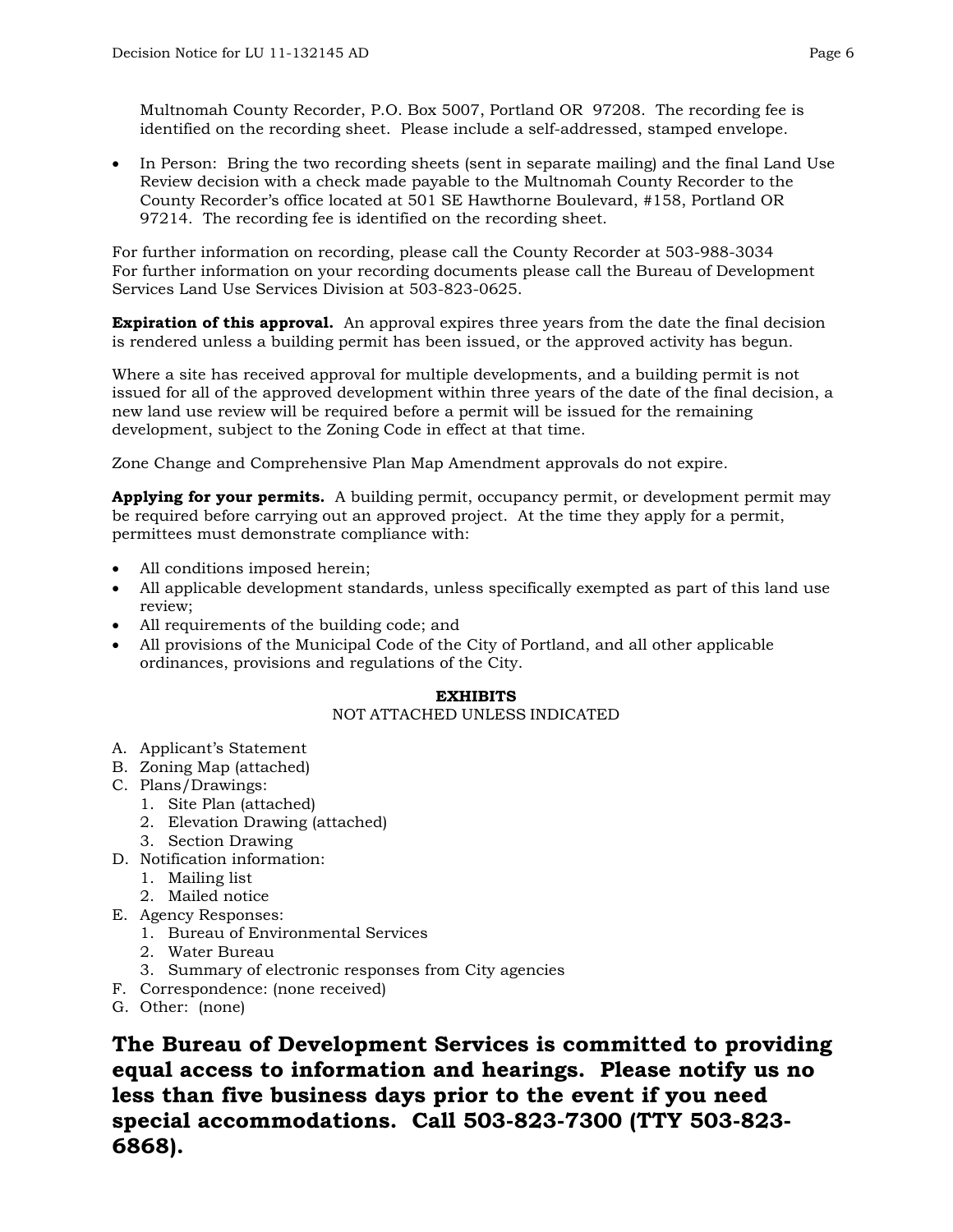• In Person: Bring the two recording sheets (sent in separate mailing) and the final Land Use Review decision with a check made payable to the Multnomah County Recorder to the County Recorder's office located at 501 SE Hawthorne Boulevard, #158, Portland OR 97214. The recording fee is identified on the recording sheet.

For further information on recording, please call the County Recorder at 503-988-3034 For further information on your recording documents please call the Bureau of Development Services Land Use Services Division at 503-823-0625.

**Expiration of this approval.** An approval expires three years from the date the final decision is rendered unless a building permit has been issued, or the approved activity has begun.

Where a site has received approval for multiple developments, and a building permit is not issued for all of the approved development within three years of the date of the final decision, a new land use review will be required before a permit will be issued for the remaining development, subject to the Zoning Code in effect at that time.

Zone Change and Comprehensive Plan Map Amendment approvals do not expire.

**Applying for your permits.** A building permit, occupancy permit, or development permit may be required before carrying out an approved project. At the time they apply for a permit, permittees must demonstrate compliance with:

- All conditions imposed herein;
- All applicable development standards, unless specifically exempted as part of this land use review;
- All requirements of the building code; and
- All provisions of the Municipal Code of the City of Portland, and all other applicable ordinances, provisions and regulations of the City.

## **EXHIBITS**

## NOT ATTACHED UNLESS INDICATED

- A. Applicant's Statement
- B. Zoning Map (attached)
- C. Plans/Drawings:
	- 1. Site Plan (attached)
	- 2. Elevation Drawing (attached)
	- 3. Section Drawing
- D. Notification information:
	- 1. Mailing list
	- 2. Mailed notice
- E. Agency Responses:
	- 1. Bureau of Environmental Services
	- 2. Water Bureau
	- 3. Summary of electronic responses from City agencies
- F. Correspondence: (none received)
- G. Other: (none)

**The Bureau of Development Services is committed to providing equal access to information and hearings. Please notify us no less than five business days prior to the event if you need special accommodations. Call 503-823-7300 (TTY 503-823- 6868).**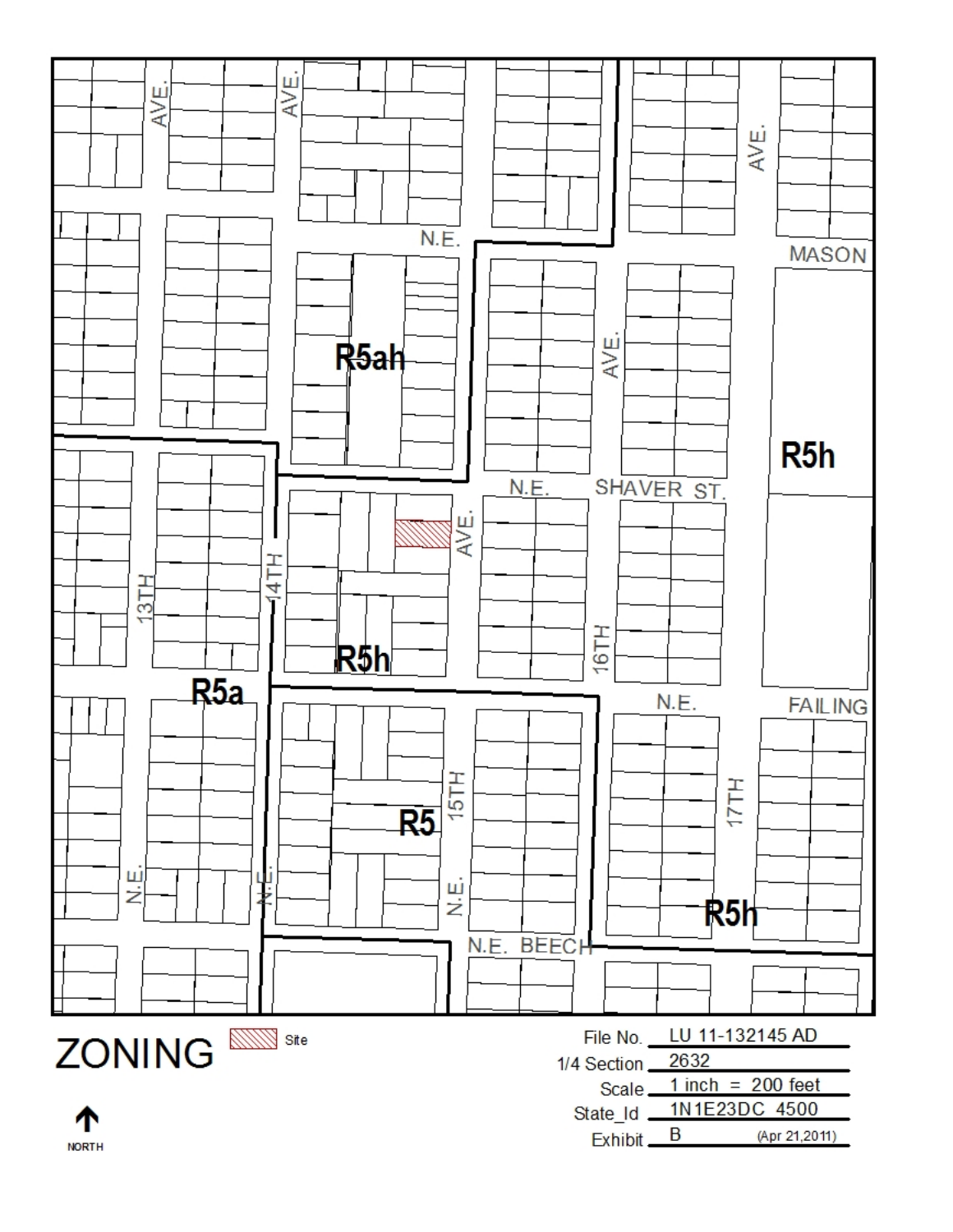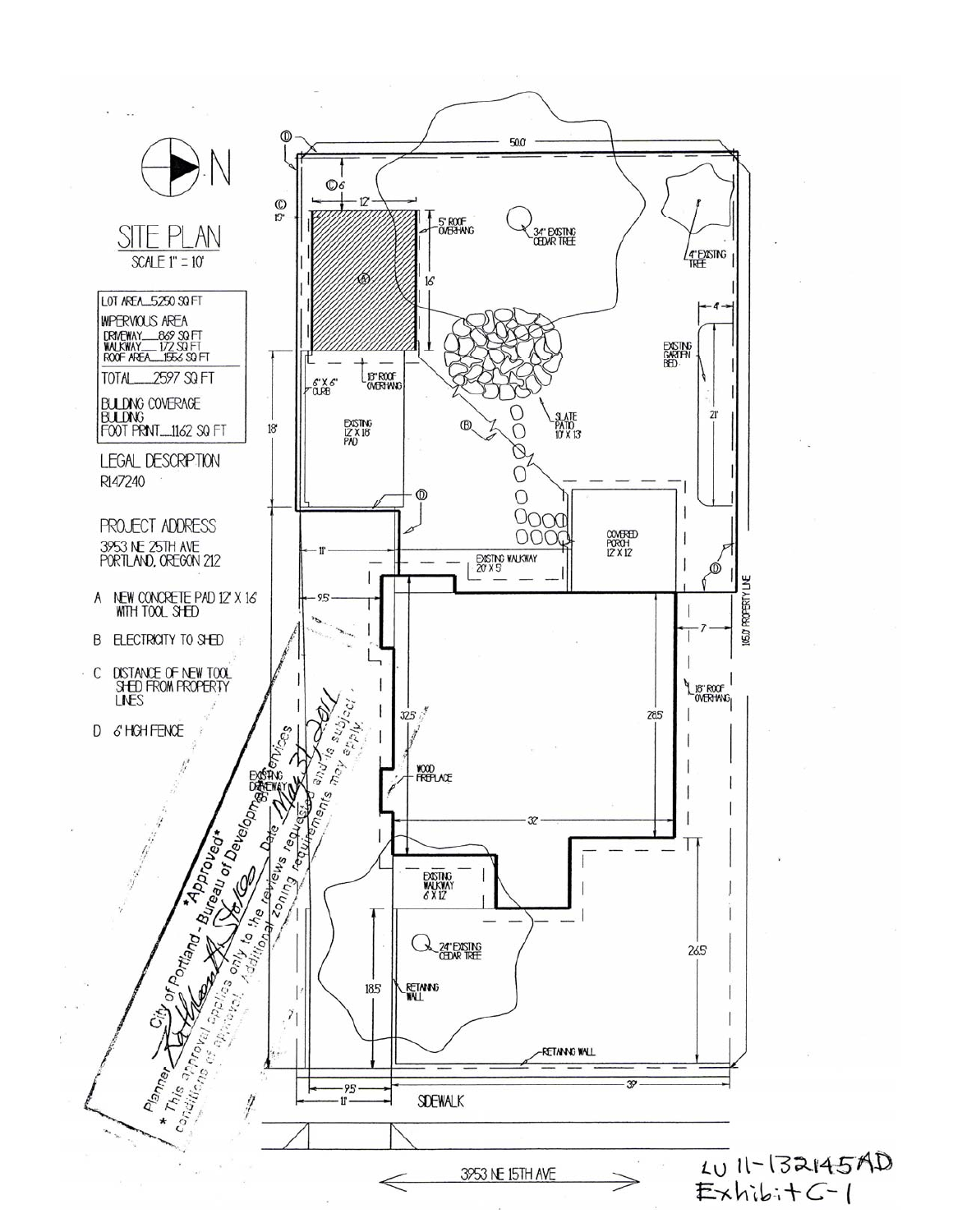